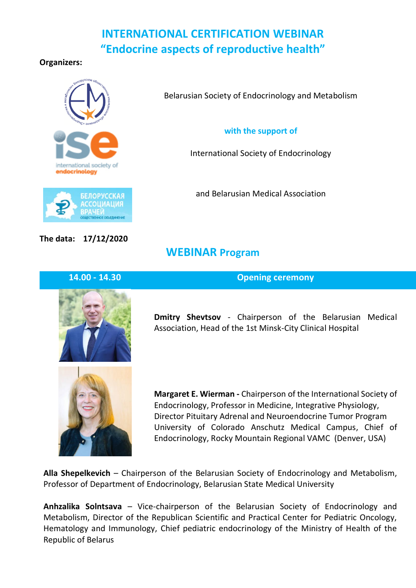# **INTERNATIONAL CERTIFICATION WEBINAR "Endocrine aspects of reproductive health"**

**WEBINAR Program**

**Organizers:** 



Belarusian Society of Endocrinology and Metabolism

**with the support of**

International Society of Endocrinology

and Belarusian Medical Association

**The data: 17/12/2020**

**14.00 - 14.30 Opening ceremony**



**Dmitry Shevtsov** - Chairperson of the Belarusian Medical Association, Head of the 1st Minsk-City Clinical Hospital



**Margaret E. Wierman -** Chairperson of the International Society of Endocrinology, Professor in Medicine, Integrative Physiology, Director Pituitary Adrenal and Neuroendocrine Tumor Program University of Colorado Anschutz Medical Campus, Chief of Endocrinology, Rocky Mountain Regional VAMC (Denver, USA)

**Alla Shepelkevich** – Chairperson of the Belarusian Society of Endocrinology and Metabolism, Professor of Department of Endocrinology, Belarusian State Medical University

**Anhzalika Solntsava** – Vice-chairperson of the Belarusian Society of Endocrinology and Metabolism, Director of the Republican Scientific and Practical Center for Pediatric Oncology, Hematology and Immunology, Chief pediatric endocrinology of the Ministry of Health of the Republic of Belarus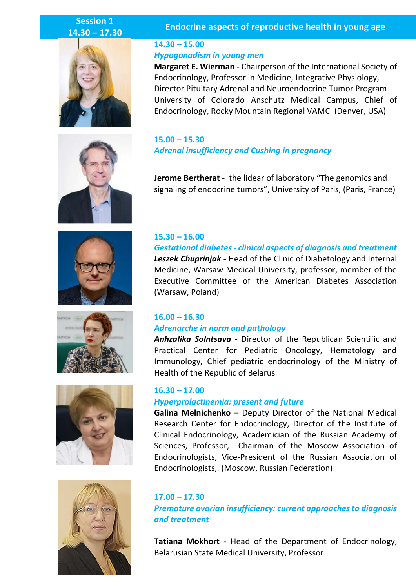# **Session 1 14.30 – 17.30**















### **Endocrine aspects of reproductive health in young age**

## **14.30 – 15.00** *Hypogonadism in young men*

**Margaret E. Wierman -** Chairperson of the International Society of Endocrinology, Professor in Medicine, Integrative Physiology, Director Pituitary Adrenal and Neuroendocrine Tumor Program University of Colorado Anschutz Medical Campus, Chief of Endocrinology, Rocky Mountain Regional VAMC (Denver, USA)

**15.00 – 15.30** *Adrenal insufficiency and Cushing in pregnancy*

**Jerome Bertherat** - the lidear of laboratory "The genomics and signaling of endocrine tumors", University of Paris, (Paris, France)

### **15.30 – 16.00**

*Gestational diabetes - clinical aspects of diagnosis and treatment Leszek Chuprinjak* **-** Head of the Clinic of Diabetology and Internal Medicine, Warsaw Medical University, professor, member of the Executive Committee of the American Diabetes Association (Warsaw, Poland)

### **16.00 – 16.30**  *Adrenarche in norm and pathology*

*Anhzalika Solntsava -* Director of the Republican Scientific and Practical Center for Pediatric Oncology, Hematology and Immunology, Chief pediatric endocrinology of the Ministry of Health of the Republic of Belarus

#### **16.30 – 17.00**

#### *Hyperprolactinemia: present and future*

**Galina Melnichenko** – Deputy Director of the National Medical Research Center for Endocrinology, Director of the Institute of Clinical Endocrinology, Academician of the Russian Academy of Sciences, Professor, Chairman of the Moscow Association of Endocrinologists, Vice-President of the Russian Association of Endocrinologists,. (Moscow, Russian Federation)

**17.00 – 17.30** *Premature ovarian insufficiency: current approaches to diagnosis and treatment*

**Tatiana Mokhort** - Head of the Department of Endocrinology, Belarusian State Medical University, Professor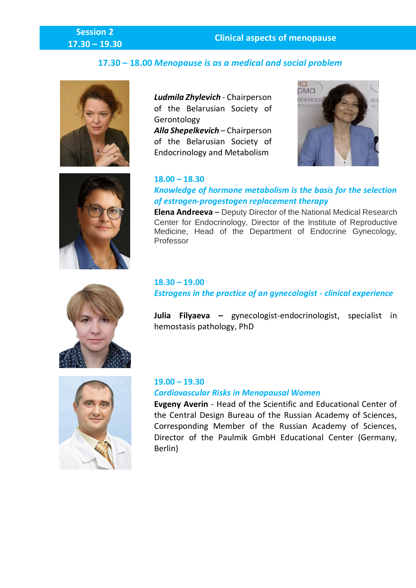# **Session 2**

# **17.30 – 18.00** *Menopause is as a medical and social problem*





*Alla Shepelkevich* – Chairperson of the Belarusian Society of Endocrinology and Metabolism





### **18.00 – 18.30**

# *Knowledge of hormone metabolism is the basis for the selection of estrogen-progestogen replacement therapy*

**Elena Andreeva** – Deputy Director of the National Medical Research Center for Endocrinology, Director of the Institute of Reproductive Medicine, Head of the Department of Endocrine Gynecology, Professor

## **18.30 – 19.00** *Estrogens in the practice of an gynecologist - clinical experience*

**Julia Filyaeva –** gynecologist-endocrinologist, specialist in hemostasis pathology, PhD



# **19.00 – 19.30** *Cardiovascular Risks in Menopausal Women*

**Evgeny Averin** - Head of the Scientific and Educational Center of the Central Design Bureau of the Russian Academy of Sciences, Corresponding Member of the Russian Academy of Sciences, Director of the Paulmik GmbH Educational Center (Germany, Berlin)